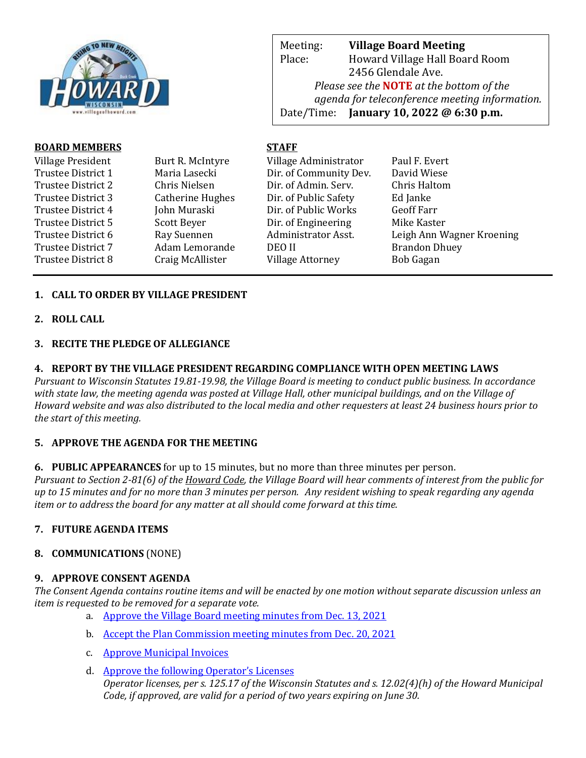

Meeting: **Village Board Meeting** Place: Howard Village Hall Board Room 2456 Glendale Ave. *Please see the* **NOTE** *at the bottom of the agenda for teleconference meeting information.*  Date/Time: **January 10, 2022 @ 6:30 p.m.**

web Page: www.villageoff.com

### **BOARD MEMBERS STAFF**

| Village President         | Burt R. McIntyre | Village Administrator   | Paul F. Evert             |
|---------------------------|------------------|-------------------------|---------------------------|
| Trustee District 1        | Maria Lasecki    | Dir. of Community Dev.  | David Wiese               |
| Trustee District 2        | Chris Nielsen    | Dir. of Admin. Serv.    | Chris Haltom              |
| Trustee District 3        | Catherine Hughes | Dir. of Public Safety   | Ed Janke                  |
| Trustee District 4        | John Muraski     | Dir. of Public Works    | <b>Geoff Farr</b>         |
| Trustee District 5        | Scott Beyer      | Dir. of Engineering     | Mike Kaster               |
| Trustee District 6        | Ray Suennen      | Administrator Asst.     | Leigh Ann Wagner Kroening |
| <b>Trustee District 7</b> | Adam Lemorande   | DEO II                  | <b>Brandon Dhuey</b>      |
| Trustee District 8        | Craig McAllister | <b>Village Attorney</b> | <b>Bob Gagan</b>          |
|                           |                  |                         |                           |

# **1. CALL TO ORDER BY VILLAGE PRESIDENT**

**2. ROLL CALL**

#### **3. RECITE THE PLEDGE OF ALLEGIANCE**

#### **4. REPORT BY THE VILLAGE PRESIDENT REGARDING COMPLIANCE WITH OPEN MEETING LAWS**

*Pursuant to Wisconsin Statutes 19.81-19.98, the Village Board is meeting to conduct public business. In accordance with state law, the meeting agenda was posted at Village Hall, other municipal buildings, and on the Village of Howard website and was also distributed to the local media and other requesters at least 24 business hours prior to the start of this meeting.* 

### **5. APPROVE THE AGENDA FOR THE MEETING**

**6. PUBLIC APPEARANCES** for up to 15 minutes, but no more than three minutes per person.

*Pursuant to Section 2-81(6) of the Howard Code, the Village Board will hear comments of interest from the public for up to 15 minutes and for no more than 3 minutes per person. Any resident wishing to speak regarding any agenda item or to address the board for any matter at all should come forward at this time.* 

### **7. FUTURE AGENDA ITEMS**

### **8. COMMUNICATIONS** (NONE)

#### **9. APPROVE CONSENT AGENDA**

*The Consent Agenda contains routine items and will be enacted by one motion without separate discussion unless an item is requested to be removed for a separate vote.*

- a. [Approve the Village Board meeting minutes from Dec. 13, 2021](https://www.villageofhoward.com/DocumentCenter/View/8078/9a-VB-Minutes-12-13-21)
- b. [Accept the Plan Commission meeting minutes from Dec. 20, 2021](https://www.villageofhoward.com/DocumentCenter/View/8079/9b-PC-minutes-12-20-21)
- c. [Approve Municipal Invoices](https://www.villageofhoward.com/DocumentCenter/View/8084/9c-Municipal-Invoices)
- d. [Approve the following Operator's Licenses](https://www.villageofhoward.com/DocumentCenter/View/8080/9d-Operator-Licenses) *Operator licenses, per s. 125.17 of the Wisconsin Statutes and s. 12.02(4)(h) of the Howard Municipal Code, if approved, are valid for a period of two years expiring on June 30.*